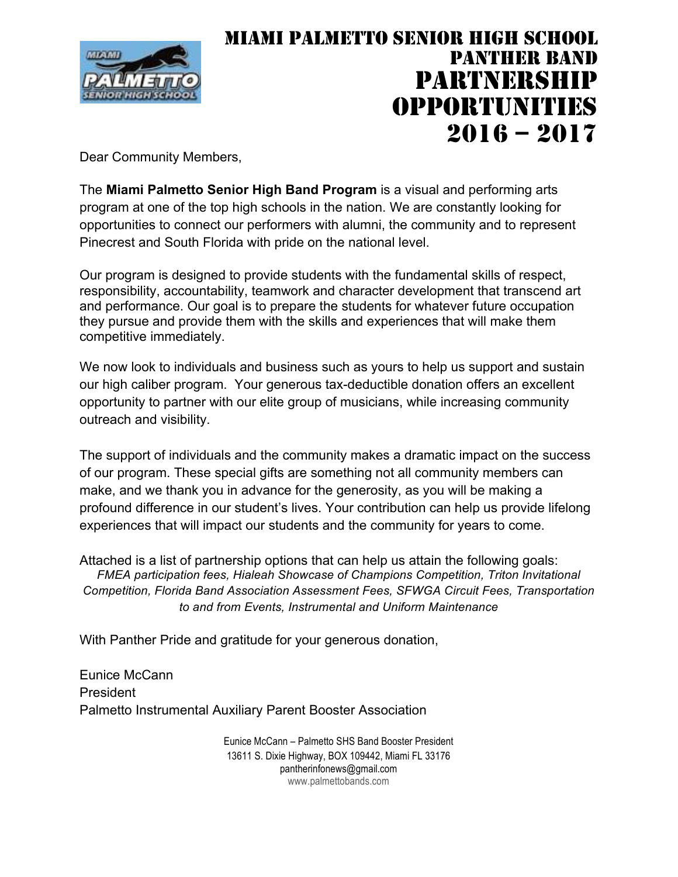

### MIAMI PALMETTO SENIOR HIGH SCHOOL PANTHER BAND PARTNERSHIP OPPORTUNITIES 2016 – 2017

Dear Community Members,

The **Miami Palmetto Senior High Band Program** is a visual and performing arts program at one of the top high schools in the nation. We are constantly looking for opportunities to connect our performers with alumni, the community and to represent Pinecrest and South Florida with pride on the national level.

Our program is designed to provide students with the fundamental skills of respect, responsibility, accountability, teamwork and character development that transcend art and performance. Our goal is to prepare the students for whatever future occupation they pursue and provide them with the skills and experiences that will make them competitive immediately.

We now look to individuals and business such as yours to help us support and sustain our high caliber program. Your generous tax-deductible donation offers an excellent opportunity to partner with our elite group of musicians, while increasing community outreach and visibility.

The support of individuals and the community makes a dramatic impact on the success of our program. These special gifts are something not all community members can make, and we thank you in advance for the generosity, as you will be making a profound difference in our student's lives. Your contribution can help us provide lifelong experiences that will impact our students and the community for years to come.

Attached is a list of partnership options that can help us attain the following goals: *FMEA participation fees, Hialeah Showcase of Champions Competition, Triton Invitational Competition, Florida Band Association Assessment Fees, SFWGA Circuit Fees, Transportation to and from Events, Instrumental and Uniform Maintenance*

With Panther Pride and gratitude for your generous donation,

Eunice McCann President Palmetto Instrumental Auxiliary Parent Booster Association

> Eunice McCann – Palmetto SHS Band Booster President 13611 S. Dixie Highway, BOX 109442, Miami FL 33176 pantherinfonews@gmail.com www.palmettobands.com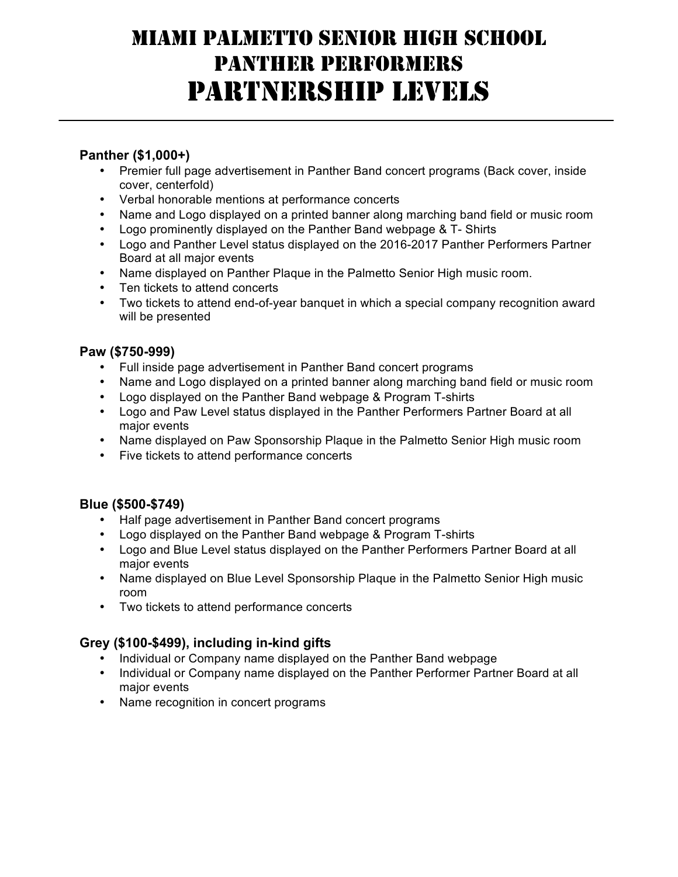# MIAMI PALMETTO SENIOR HIGH SCHOOL PANTHER PERFORMERS PARTNERSHIP LEVELS

### **Panther (\$1,000+)**

- Premier full page advertisement in Panther Band concert programs (Back cover, inside cover, centerfold)
- Verbal honorable mentions at performance concerts
- Name and Logo displayed on a printed banner along marching band field or music room
- Logo prominently displayed on the Panther Band webpage & T- Shirts
- Logo and Panther Level status displayed on the 2016-2017 Panther Performers Partner Board at all major events
- Name displayed on Panther Plaque in the Palmetto Senior High music room.
- Ten tickets to attend concerts
- Two tickets to attend end-of-year banquet in which a special company recognition award will be presented

### **Paw (\$750-999)**

- Full inside page advertisement in Panther Band concert programs
- Name and Logo displayed on a printed banner along marching band field or music room
- Logo displayed on the Panther Band webpage & Program T-shirts
- Logo and Paw Level status displayed in the Panther Performers Partner Board at all major events
- Name displayed on Paw Sponsorship Plaque in the Palmetto Senior High music room
- Five tickets to attend performance concerts

### **Blue (\$500-\$749)**

- Half page advertisement in Panther Band concert programs
- Logo displayed on the Panther Band webpage & Program T-shirts
- Logo and Blue Level status displayed on the Panther Performers Partner Board at all major events
- Name displayed on Blue Level Sponsorship Plaque in the Palmetto Senior High music room
- Two tickets to attend performance concerts

### **Grey (\$100-\$499), including in-kind gifts**

- Individual or Company name displayed on the Panther Band webpage
- Individual or Company name displayed on the Panther Performer Partner Board at all major events
- Name recognition in concert programs